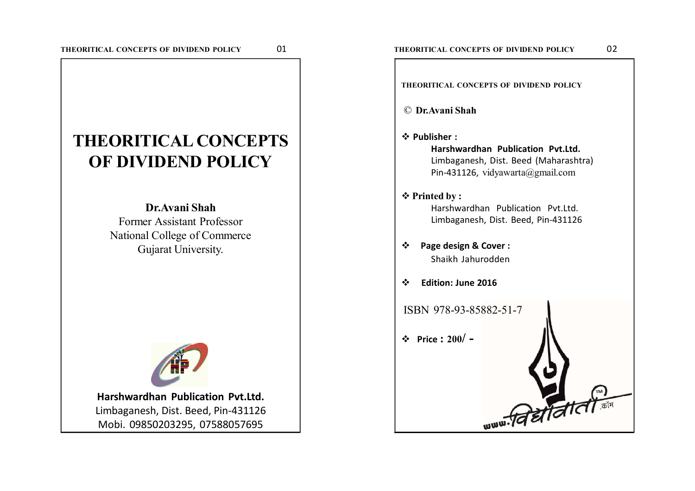# **THEORITICAL CONCEPTS OF DIVIDEND POLICY**

**Dr.Avani Shah** Former Assistant Professor National College of Commerce Gujarat University.



**Harshwardhan Publication Pvt.Ltd.** Limbaganesh, Dist. Beed, Pin-431126 Mobi. 09850203295, 07588057695

**THEORITICAL CONCEPTS OF DIVIDEND POLICY**

- © **Dr.Avani Shah**
- **Publisher :**

**Harshwardhan Publication Pvt.Ltd.** Limbaganesh, Dist. Beed (Maharashtra) Pin-431126, vidyawarta@gmail.com

# $\diamond$  **Printed by :**

Harshwardhan Publication Pvt.Ltd. Limbaganesh, Dist. Beed, Pin-431126

- **Page design & Cover :** Shaikh Jahurodden
- **Edition: June 2016**

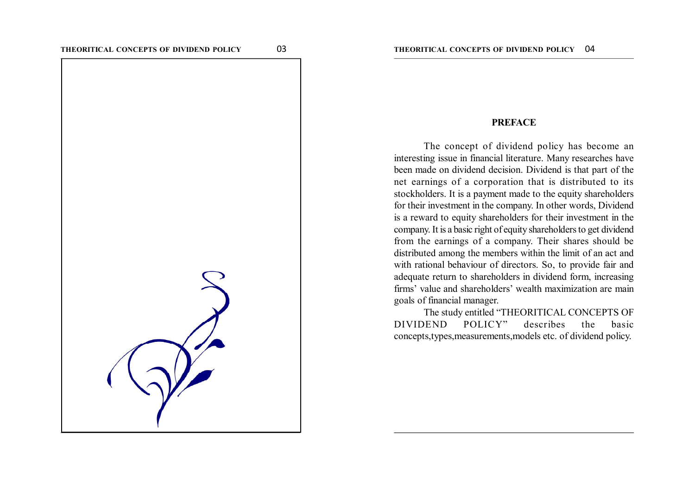

#### **PREFACE**

The concept of dividend policy has become an interesting issue in financial literature. Many researches have been made on dividend decision. Dividend is that part of the net earnings of a corporation that is distributed to its stockholders. It is a payment made to the equity shareholders for their investment in the company. In other words, Dividend is a reward to equity shareholders for their investment in the company. It is a basic right of equity shareholders to get dividend from the earnings of a company. Their shares should be distributed among the members within the limit of an act and with rational behaviour of directors. So, to provide fair and adequate return to shareholders in dividend form, increasing firms' value and shareholders' wealth maximization are main goals of financial manager.

The study entitled "THEORITICAL CONCEPTS OF DIVIDEND POLICY" describes the basic concepts,types,measurements,models etc. of dividend policy.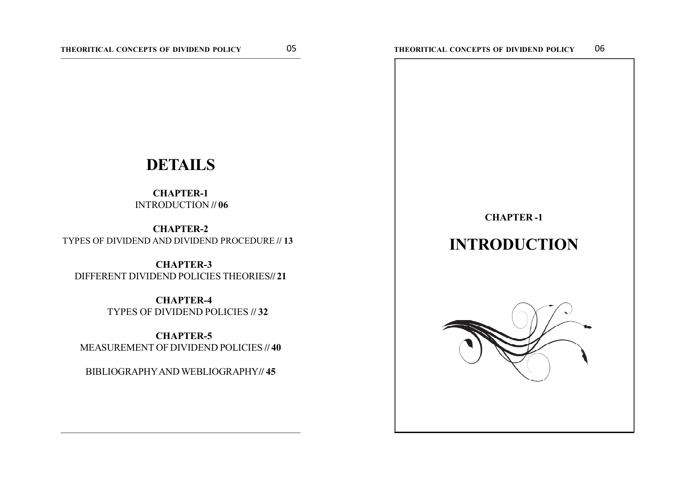# **DETAILS**

### **CHAPTER-1** INTRODUCTION **// 06**

**1 CHAPTER-2** TYPES OF DIVIDEND AND DIVIDEND PROCEDURE **// 13**

 **CHAPTER-3** DIFFERENT DIVIDEND POLICIES THEORIES**// 21**

> **CHAPTER-4** TYPES OF DIVIDEND POLICIES **// 32**

 **CHAPTER-5** MEASUREMENT OF DIVIDEND POLICIES **// 40**

BIBLIOGRAPHY AND WEBLIOGRAPHY**// 45**

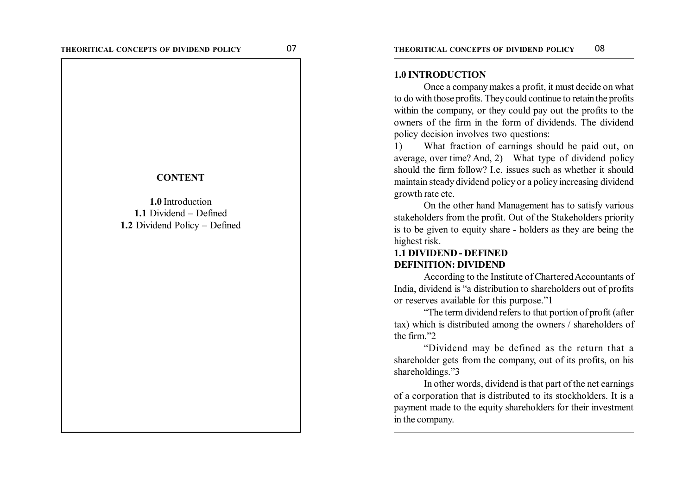#### **CONTENT**

**1.0** Introduction **1.1** Dividend – Defined **1.2** Dividend Policy – Defined

#### **1.0 INTRODUCTION**

Once a company makes a profit, it must decide on what to do with those profits. They could continue to retain the profits within the company, or they could pay out the profits to the owners of the firm in the form of dividends. The dividend policy decision involves two questions:

1) What fraction of earnings should be paid out, on average, over time? And, 2) What type of dividend policy should the firm follow? Le issues such as whether it should maintain steady dividend policy or a policy increasing dividend growth rate etc.

On the other hand Management has to satisfy various stakeholders from the profit. Out of the Stakeholders priority is to be given to equity share - holders as they are being the highest risk.

# **1.1 DIVIDEND - DEFINED DEFINITION: DIVIDEND**

According to the Institute of Chartered Accountants of India, dividend is "a distribution to shareholders out of profits or reserves available for this purpose."1

"The term dividend refers to that portion of profit (after tax) which is distributed among the owners / shareholders of the firm "2"

"Dividend may be defined as the return that a shareholder gets from the company, out of its profits, on his shareholdings."3

In other words, dividend is that part of the net earnings of a corporation that is distributed to its stockholders. It is a payment made to the equity shareholders for their investment in the company.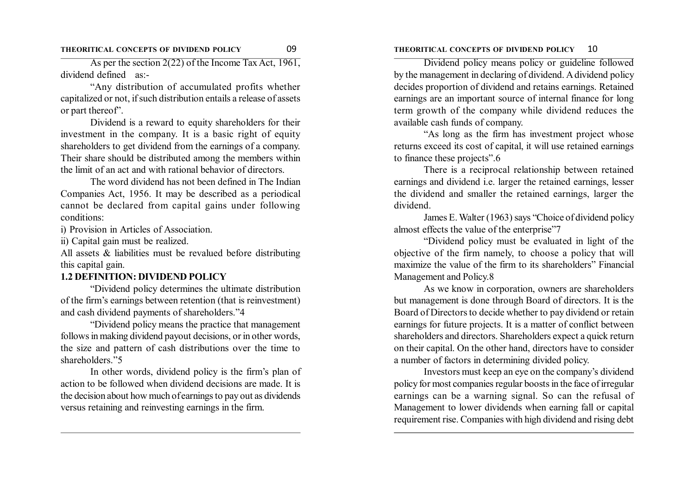#### **THEORITICAL CONCEPTS OF DIVIDEND POLICY** 09 **THEORITICAL CONCEPTS OF DIVIDEND POLICY** 10

As per the section 2(22) of the Income Tax Act, 1961, dividend defined as:-

"Any distribution of accumulated profits whether capitalized or not, if such distribution entails a release of assets or part thereof".

Dividend is a reward to equity shareholders for their investment in the company. It is a basic right of equity shareholders to get dividend from the earnings of a company. Their share should be distributed among the members within the limit of an act and with rational behavior of directors.

The word dividend has not been defined in The Indian Companies Act, 1956. It may be described as a periodical cannot be declared from capital gains under following conditions:

i) Provision in Articles of Association.

ii) Capital gain must be realized.

All assets & liabilities must be revalued before distributing this capital gain.

#### **1.2 DEFINITION: DIVIDEND POLICY**

"Dividend policy determines the ultimate distribution of the firm's earnings between retention (that is reinvestment) and cash dividend payments of shareholders."4

"Dividend policy means the practice that management follows in making dividend payout decisions, or in other words, the size and pattern of cash distributions over the time to shareholders."5

In other words, dividend policy is the firm's plan of action to be followed when dividend decisions are made. It is the decision about how much of earnings to pay out as dividends versus retaining and reinvesting earnings in the firm.

Dividend policy means policy or guideline followed by the management in declaring of dividend. A dividend policy decides proportion of dividend and retains earnings. Retained earnings are an important source of internal finance for long term growth of the company while dividend reduces the available cash funds of company.

"As long as the firm has investment project whose returns exceed its cost of capital, it will use retained earnings to finance these projects".6

There is a reciprocal relationship between retained earnings and dividend i.e. larger the retained earnings, lesser the dividend and smaller the retained earnings, larger the dividend.

James E. Walter (1963) says "Choice of dividend policy almost effects the value of the enterprise"7

"Dividend policy must be evaluated in light of the objective of the firm namely, to choose a policy that will maximize the value of the firm to its shareholders" Financial Management and Policy.8

As we know in corporation, owners are shareholders but management is done through Board of directors. It is the Board of Directors to decide whether to pay dividend or retain earnings for future projects. It is a matter of conflict between shareholders and directors. Shareholders expect a quick return on their capital. On the other hand, directors have to consider a number of factors in determining divided policy.

Investors must keep an eye on the company's dividend policy for most companies regular boosts in the face of irregular earnings can be a warning signal. So can the refusal of Management to lower dividends when earning fall or capital requirement rise. Companies with high dividend and rising debt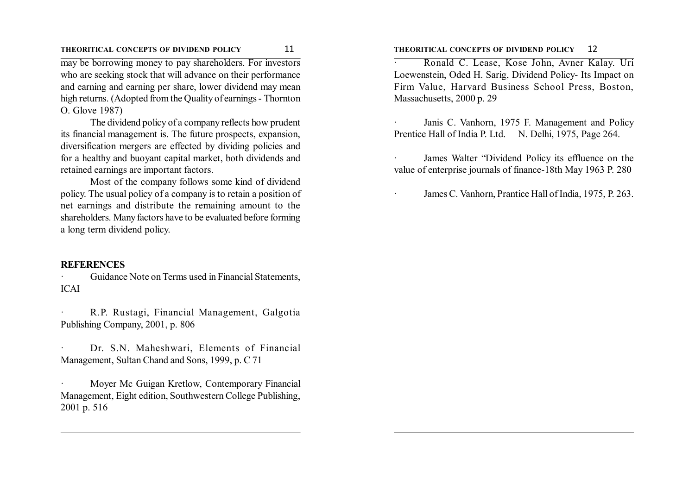#### **THEORITICAL CONCEPTS OF DIVIDEND POLICY** 11 **THEORITICAL CONCEPTS OF DIVIDEND POLICY** 12

may be borrowing money to pay shareholders. For investors who are seeking stock that will advance on their performance and earning and earning per share, lower dividend may mean high returns. (Adopted from the Quality of earnings - Thornton O. Glove 1987)

The dividend policy of a company reflects how prudent its financial management is. The future prospects, expansion, diversification mergers are effected by dividing policies and for a healthy and buoyant capital market, both dividends and retained earnings are important factors.

Most of the company follows some kind of dividend policy. The usual policy of a company is to retain a position of net earnings and distribute the remaining amount to the shareholders. Many factors have to be evaluated before forming a long term dividend policy.

#### **REFERENCES**

Guidance Note on Terms used in Financial Statements, ICAI

· R.P. Rustagi, Financial Management, Galgotia Publishing Company, 2001, p. 806

Dr. S.N. Maheshwari, Elements of Financial Management, Sultan Chand and Sons, 1999, p. C 71

Moyer Mc Guigan Kretlow, Contemporary Financial Management, Eight edition, Southwestern College Publishing, 2001 p. 516

· Ronald C. Lease, Kose John, Avner Kalay. Uri Loewenstein, Oded H. Sarig, Dividend Policy- Its Impact on Firm Value, Harvard Business School Press, Boston, Massachusetts, 2000 p. 29

Janis C. Vanhorn, 1975 F. Management and Policy Prentice Hall of India P. Ltd. N. Delhi, 1975, Page 264.

James Walter "Dividend Policy its effluence on the value of enterprise journals of finance-18th May 1963 P. 280

James C. Vanhorn, Prantice Hall of India, 1975, P. 263.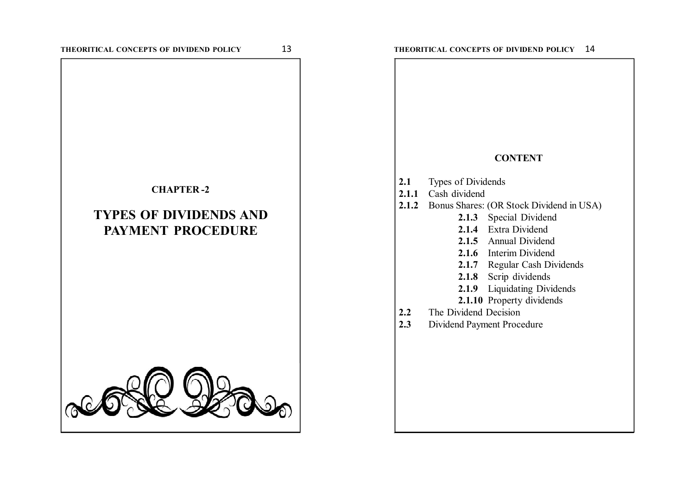#### **CHAPTER -2**

# **TYPES OF DIVIDENDS AND PAYMENT PROCEDURE**



#### **CONTENT**

- **2.1** Types of Dividends
- **2.1.1** Cash dividend
- **2.1.2** Bonus Shares: (OR Stock Dividend in USA)
	- **2.1.3** Special Dividend
	- **2.1.4** Extra Dividend
	- **2.1.5** Annual Dividend
	- **2.1.6** Interim Dividend
	- **2.1.7** Regular Cash Dividends
	- **2.1.8** Scrip dividends
	- **2.1.9** Liquidating Dividends
	- **2.1.10** Property dividends
- **2.2** The Dividend Decision
- **2.3** Dividend Payment Procedure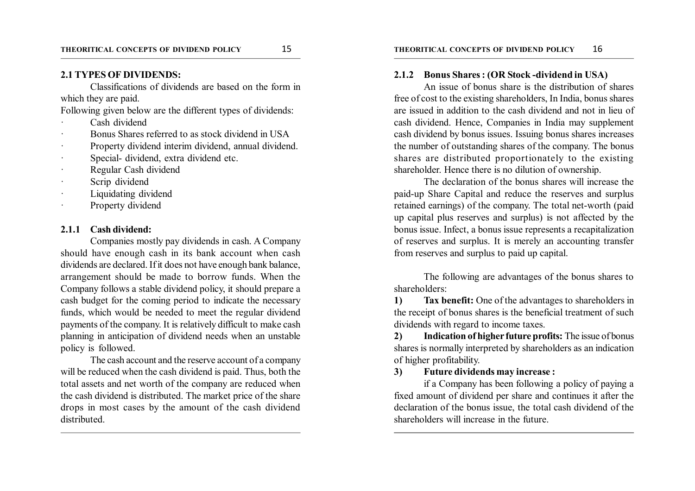Classifications of dividends are based on the form in which they are paid.

Following given below are the different types of dividends:

- Cash dividend
- Bonus Shares referred to as stock dividend in USA
- Property dividend interim dividend, annual dividend.
- Special- dividend, extra dividend etc.
- Regular Cash dividend
- Scrip dividend
- Liquidating dividend
- Property dividend

#### **2.1.1 Cash dividend:**

Companies mostly pay dividends in cash. A Company should have enough cash in its bank account when cash dividends are declared. If it does not have enough bank balance, arrangement should be made to borrow funds. When the Company follows a stable dividend policy, it should prepare a cash budget for the coming period to indicate the necessary funds, which would be needed to meet the regular dividend payments of the company. It is relatively difficult to make cash planning in anticipation of dividend needs when an unstable policy is followed.

The cash account and the reserve account of a company will be reduced when the cash dividend is paid. Thus, both the total assets and net worth of the company are reduced when the cash dividend is distributed. The market price of the share drops in most cases by the amount of the cash dividend distributed.

#### **2.1.2 Bonus Shares : (OR Stock -dividend in USA)**

An issue of bonus share is the distribution of shares free of cost to the existing shareholders, In India, bonus shares are issued in addition to the cash dividend and not in lieu of cash dividend. Hence, Companies in India may supplement cash dividend by bonus issues. Issuing bonus shares increases the number of outstanding shares of the company. The bonus shares are distributed proportionately to the existing shareholder. Hence there is no dilution of ownership.

The declaration of the bonus shares will increase the paid-up Share Capital and reduce the reserves and surplus retained earnings) of the company. The total net-worth (paid up capital plus reserves and surplus) is not affected by the bonus issue. Infect, a bonus issue represents a recapitalization of reserves and surplus. It is merely an accounting transfer from reserves and surplus to paid up capital.

The following are advantages of the bonus shares to shareholders:

**1) Tax benefit:** One of the advantages to shareholders in the receipt of bonus shares is the beneficial treatment of such dividends with regard to income taxes.

**2) Indication of higher future profits:** The issue of bonus shares is normally interpreted by shareholders as an indication of higher profitability.

#### **3) Future dividends may increase :**

if a Company has been following a policy of paying a fixed amount of dividend per share and continues it after the declaration of the bonus issue, the total cash dividend of the shareholders will increase in the future.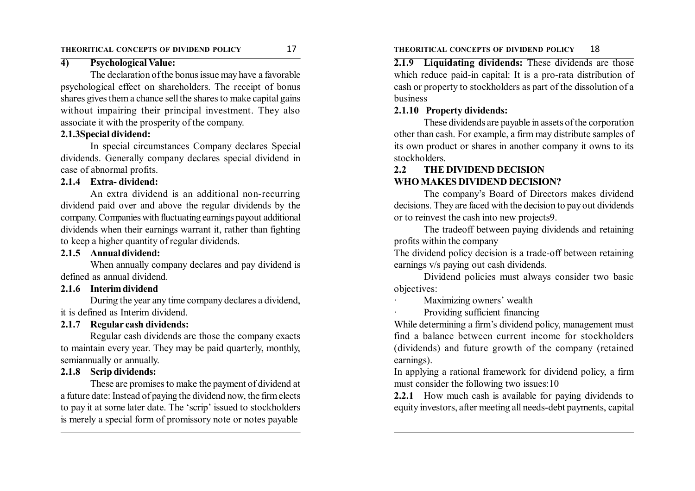# **4) Psychological Value:**

The declaration of the bonus issue may have a favorable psychological effect on shareholders. The receipt of bonus shares gives them a chance sell the shares to make capital gains without impairing their principal investment. They also associate it with the prosperity of the company.

#### **2.1.3Special dividend:**

In special circumstances Company declares Special dividends. Generally company declares special dividend in case of abnormal profits.

#### **2.1.4 Extra- dividend:**

An extra dividend is an additional non-recurring dividend paid over and above the regular dividends by the company. Companies with fluctuating earnings payout additional dividends when their earnings warrant it, rather than fighting to keep a higher quantity of regular dividends.

# **2.1.5 Annual dividend:**

When annually company declares and pay dividend is defined as annual dividend.

#### **2.1.6 Interim dividend**

During the year any time company declares a dividend, it is defined as Interim dividend.

# **2.1.7 Regular cash dividends:**

Regular cash dividends are those the company exacts to maintain every year. They may be paid quarterly, monthly, semiannually or annually.

# **2.1.8 Scrip dividends:**

These are promises to make the payment of dividend at a future date: Instead of paying the dividend now, the firm elects to pay it at some later date. The 'scrip' issued to stockholders is merely a special form of promissory note or notes payable

#### **THEORITICAL CONCEPTS OF DIVIDEND POLICY** 17 **THEORITICAL CONCEPTS OF DIVIDEND POLICY** 18

**2.1.9 Liquidating dividends:** These dividends are those which reduce paid-in capital: It is a pro-rata distribution of cash or property to stockholders as part of the dissolution of a business

#### **2.1.10 Property dividends:**

These dividends are payable in assets of the corporation other than cash. For example, a firm may distribute samples of its own product or shares in another company it owns to its stockholders.

# **2.2 THE DIVIDEND DECISION WHO MAKES DIVIDEND DECISION?**

The company's Board of Directors makes dividend decisions. They are faced with the decision to pay out dividends or to reinvest the cash into new projects9.

The tradeoff between paying dividends and retaining profits within the company

The dividend policy decision is a trade-off between retaining earnings v/s paying out cash dividends.

Dividend policies must always consider two basic objectives:

Maximizing owners' wealth

Providing sufficient financing

While determining a firm's dividend policy, management must find a balance between current income for stockholders (dividends) and future growth of the company (retained earnings).

In applying a rational framework for dividend policy, a firm must consider the following two issues:10

**2.2.1** How much cash is available for paying dividends to equity investors, after meeting all needs-debt payments, capital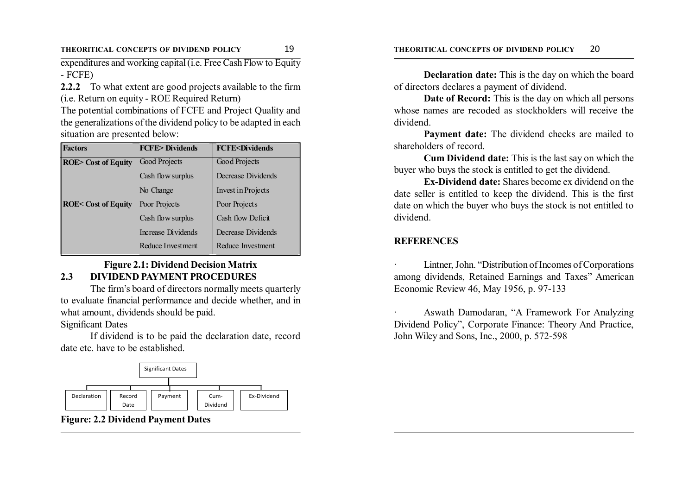expenditures and working capital (i.e. Free Cash Flow to Equity - FCFE)

**2.2.2** To what extent are good projects available to the firm (i.e. Return on equity - ROE Required Return)

The potential combinations of FCFE and Project Quality and the generalizations of the dividend policy to be adapted in each situation are presented below:

| <b>Factors</b>                | <b>FCFF&gt;Dividends</b> | <b>FCFE<dividends< b=""></dividends<></b> |  |
|-------------------------------|--------------------------|-------------------------------------------|--|
| <b>ROE&gt;</b> Cost of Equity | Good Projects            | Good Projects                             |  |
|                               | Cash flow surplus        | Decrease Dividends                        |  |
|                               | No Change                | Invest in Projects                        |  |
| <b>ROE&lt; Cost of Equity</b> | Poor Projects            | Poor Projects                             |  |
|                               | Cash flow surplus        | Cash flow Deficit                         |  |
|                               | Increase Dividends       | Decrease Dividends                        |  |
|                               | Reduce Investment        | Reduce Investment                         |  |

# **Figure 2.1: Dividend Decision Matrix 2.3 DIVIDEND PAYMENT PROCEDURES**

The firm's board of directors normally meets quarterly to evaluate financial performance and decide whether, and in what amount, dividends should be paid. Significant Dates

If dividend is to be paid the declaration date, record date etc. have to be established.



**Figure: 2.2 Dividend Payment Dates**

**Declaration date:** This is the day on which the board of directors declares a payment of dividend.

**Date of Record:** This is the day on which all persons whose names are recoded as stockholders will receive the dividend.

**Payment date:** The dividend checks are mailed to shareholders of record.

**Cum Dividend date:** This is the last say on which the buyer who buys the stock is entitled to get the dividend.

**Ex-Dividend date:** Shares become ex dividend on the date seller is entitled to keep the dividend. This is the first date on which the buyer who buys the stock is not entitled to dividend.

# **REFERENCES**

Lintner, John. "Distribution of Incomes of Corporations" among dividends, Retained Earnings and Taxes" American Economic Review 46, May 1956, p. 97-133

· Aswath Damodaran, "A Framework For Analyzing Dividend Policy", Corporate Finance: Theory And Practice, John Wiley and Sons, Inc., 2000, p. 572-598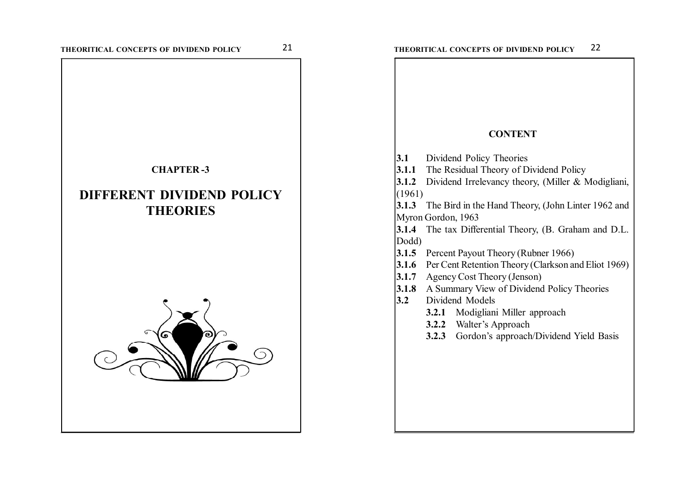# **CHAPTER -3**

# **DIFFERENT DIVIDEND POLICY THEORIES**



| 3.1<br>Dividend Policy Theories<br>3.1.2<br>(1961)<br>3.1.3<br>Myron Gordon, 1963<br>3.1.4<br>Dodd)<br>3.1.5<br>3.1.6<br>3.1.7<br>3.1.8 | <b>CONTENT</b><br><b>3.1.1</b> The Residual Theory of Dividend Policy<br>Dividend Irrelevancy theory, (Miller & Modigliani,<br>The Bird in the Hand Theory, (John Linter 1962 and<br>The tax Differential Theory, (B. Graham and D.L.<br>Percent Payout Theory (Rubner 1966) |  |  |  |
|-----------------------------------------------------------------------------------------------------------------------------------------|------------------------------------------------------------------------------------------------------------------------------------------------------------------------------------------------------------------------------------------------------------------------------|--|--|--|
|                                                                                                                                         |                                                                                                                                                                                                                                                                              |  |  |  |
|                                                                                                                                         |                                                                                                                                                                                                                                                                              |  |  |  |
|                                                                                                                                         |                                                                                                                                                                                                                                                                              |  |  |  |
|                                                                                                                                         |                                                                                                                                                                                                                                                                              |  |  |  |
|                                                                                                                                         |                                                                                                                                                                                                                                                                              |  |  |  |
|                                                                                                                                         |                                                                                                                                                                                                                                                                              |  |  |  |
|                                                                                                                                         |                                                                                                                                                                                                                                                                              |  |  |  |
|                                                                                                                                         |                                                                                                                                                                                                                                                                              |  |  |  |
|                                                                                                                                         |                                                                                                                                                                                                                                                                              |  |  |  |
|                                                                                                                                         |                                                                                                                                                                                                                                                                              |  |  |  |
|                                                                                                                                         |                                                                                                                                                                                                                                                                              |  |  |  |
|                                                                                                                                         |                                                                                                                                                                                                                                                                              |  |  |  |
|                                                                                                                                         |                                                                                                                                                                                                                                                                              |  |  |  |
|                                                                                                                                         | Per Cent Retention Theory (Clarkson and Eliot 1969)                                                                                                                                                                                                                          |  |  |  |
|                                                                                                                                         | Agency Cost Theory (Jenson)                                                                                                                                                                                                                                                  |  |  |  |
|                                                                                                                                         | A Summary View of Dividend Policy Theories                                                                                                                                                                                                                                   |  |  |  |
| 3.2<br>Dividend Models                                                                                                                  |                                                                                                                                                                                                                                                                              |  |  |  |
|                                                                                                                                         | 3.2.1 Modigliani Miller approach                                                                                                                                                                                                                                             |  |  |  |
| <b>3.2.2</b> Walter's Approach                                                                                                          |                                                                                                                                                                                                                                                                              |  |  |  |
| 3.2.3                                                                                                                                   | Gordon's approach/Dividend Yield Basis                                                                                                                                                                                                                                       |  |  |  |
|                                                                                                                                         |                                                                                                                                                                                                                                                                              |  |  |  |
|                                                                                                                                         |                                                                                                                                                                                                                                                                              |  |  |  |
|                                                                                                                                         |                                                                                                                                                                                                                                                                              |  |  |  |
|                                                                                                                                         |                                                                                                                                                                                                                                                                              |  |  |  |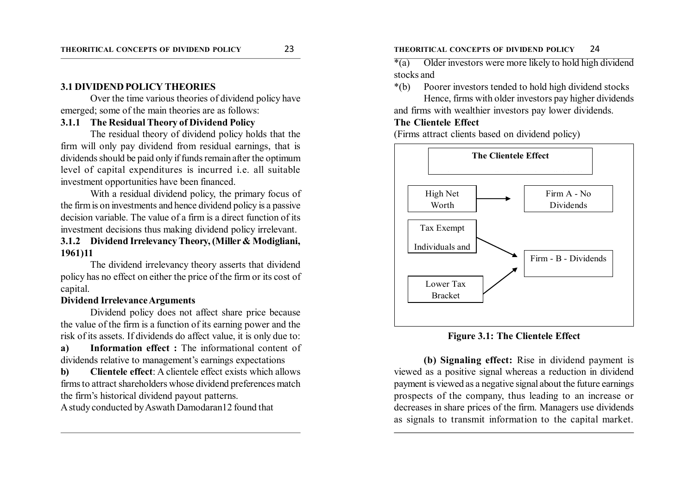#### **3.1 DIVIDEND POLICY THEORIES**

Over the time various theories of dividend policy have emerged; some of the main theories are as follows:

#### **3.1.1 The Residual Theory of Dividend Policy**

The residual theory of dividend policy holds that the firm will only pay dividend from residual earnings, that is dividends should be paid only if funds remain after the optimum level of capital expenditures is incurred i.e. all suitable investment opportunities have been financed.

With a residual dividend policy, the primary focus of the firm is on investments and hence dividend policy is a passive decision variable. The value of a firm is a direct function of its investment decisions thus making dividend policy irrelevant.

# **3.1.2 Dividend Irrelevancy Theory, (Miller & Modigliani, 1961)11**

The dividend irrelevancy theory asserts that dividend policy has no effect on either the price of the firm or its cost of capital.

#### **Dividend Irrelevance Arguments**

Dividend policy does not affect share price because the value of the firm is a function of its earning power and the risk of its assets. If dividends do affect value, it is only due to:

**a) Information effect :** The informational content of dividends relative to management's earnings expectations

**b) Clientele effect**: A clientele effect exists which allows firms to attract shareholders whose dividend preferences match the firm's historical dividend payout patterns.

A study conducted by Aswath Damodaran12 found that

#### **THEORITICAL CONCEPTS OF DIVIDEND POLICY** 23 **THEORITICAL CONCEPTS OF DIVIDEND POLICY** 24

 $*(a)$  Older investors were more likely to hold high dividend stocks and

\*(b) Poorer investors tended to hold high dividend stocks Hence, firms with older investors pay higher dividends

and firms with wealthier investors pay lower dividends.

### **The Clientele Effect**

(Firms attract clients based on dividend policy)



**Figure 3.1: The Clientele Effect**

**(b) Signaling effect:** Rise in dividend payment is viewed as a positive signal whereas a reduction in dividend payment is viewed as a negative signal about the future earnings prospects of the company, thus leading to an increase or decreases in share prices of the firm. Managers use dividends as signals to transmit information to the capital market.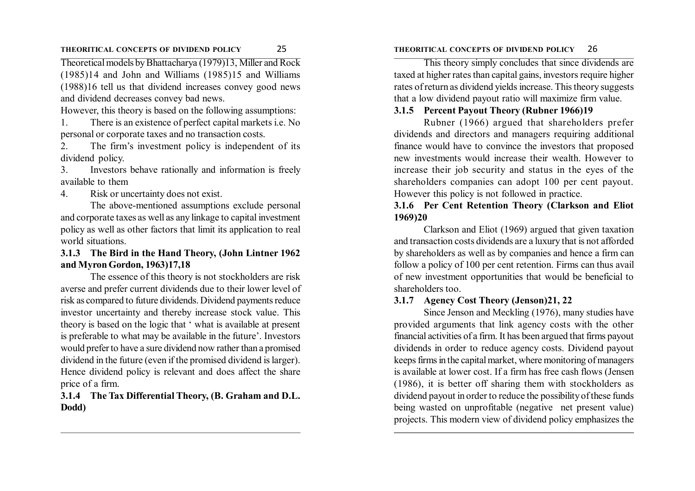#### **THEORITICAL CONCEPTS OF DIVIDEND POLICY** 25 **THEORITICAL CONCEPTS OF DIVIDEND POLICY** 26

Theoretical models by Bhattacharya (1979)13, Miller and Rock (1985)14 and John and Williams (1985)15 and Williams (1988)16 tell us that dividend increases convey good news and dividend decreases convey bad news.

However, this theory is based on the following assumptions:

1. There is an existence of perfect capital markets i.e. No personal or corporate taxes and no transaction costs.

2. The firm's investment policy is independent of its dividend policy.

3. Investors behave rationally and information is freely available to them

#### 4. Risk or uncertainty does not exist.

The above-mentioned assumptions exclude personal and corporate taxes as well as any linkage to capital investment policy as well as other factors that limit its application to real world situations.

# **3.1.3 The Bird in the Hand Theory, (John Lintner 1962 and Myron Gordon, 1963)17,18**

The essence of this theory is not stockholders are risk averse and prefer current dividends due to their lower level of risk as compared to future dividends. Dividend payments reduce investor uncertainty and thereby increase stock value. This theory is based on the logic that ' what is available at present is preferable to what may be available in the future'. Investors would prefer to have a sure dividend now rather than a promised dividend in the future (even if the promised dividend is larger). Hence dividend policy is relevant and does affect the share price of a firm.

# **3.1.4 The Tax Differential Theory, (B. Graham and D.L. Dodd)**

This theory simply concludes that since dividends are taxed at higher rates than capital gains, investors require higher rates of return as dividend yields increase. This theory suggests that a low dividend payout ratio will maximize firm value.

#### **3.1.5 Percent Payout Theory (Rubner 1966)19**

Rubner (1966) argued that shareholders prefer dividends and directors and managers requiring additional finance would have to convince the investors that proposed new investments would increase their wealth. However to increase their job security and status in the eyes of the shareholders companies can adopt 100 per cent payout. However this policy is not followed in practice.

### **3.1.6 Per Cent Retention Theory (Clarkson and Eliot 1969)20**

Clarkson and Eliot (1969) argued that given taxation and transaction costs dividends are a luxury that is not afforded by shareholders as well as by companies and hence a firm can follow a policy of 100 per cent retention. Firms can thus avail of new investment opportunities that would be beneficial to shareholders too.

# **3.1.7 Agency Cost Theory (Jenson)21, 22**

Since Jenson and Meckling (1976), many studies have provided arguments that link agency costs with the other financial activities of a firm. It has been argued that firms payout dividends in order to reduce agency costs. Dividend payout keeps firms in the capital market, where monitoring of managers is available at lower cost. If a firm has free cash flows (Jensen (1986), it is better off sharing them with stockholders as dividend payout in order to reduce the possibility of these funds being wasted on unprofitable (negative net present value) projects. This modern view of dividend policy emphasizes the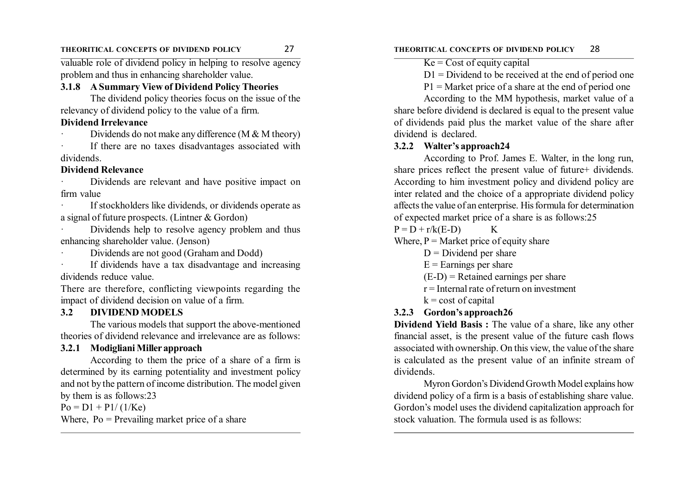#### **THEORITICAL CONCEPTS OF DIVIDEND POLICY** 27 **THEORITICAL CONCEPTS OF DIVIDEND POLICY** 28

valuable role of dividend policy in helping to resolve agency problem and thus in enhancing shareholder value.

#### **3.1.8 A Summary View of Dividend Policy Theories**

The dividend policy theories focus on the issue of the relevancy of dividend policy to the value of a firm.

# **Dividend Irrelevance**

Dividends do not make any difference (M  $&$  M theory)

If there are no taxes disadvantages associated with dividends.

#### **Dividend Relevance**

Dividends are relevant and have positive impact on firm value

If stockholders like dividends, or dividends operate as a signal of future prospects. (Lintner & Gordon)

Dividends help to resolve agency problem and thus enhancing shareholder value. (Jenson)

· Dividends are not good (Graham and Dodd)

If dividends have a tax disadvantage and increasing dividends reduce value.

There are therefore, conflicting viewpoints regarding the impact of dividend decision on value of a firm.

#### **3.2 DIVIDEND MODELS**

The various models that support the above-mentioned theories of dividend relevance and irrelevance are as follows:

#### **3.2.1 Modigliani Miller approach**

According to them the price of a share of a firm is determined by its earning potentiality and investment policy and not by the pattern of income distribution. The model given by them is as follows:23

 $Po = D1 + P1/(1/Ke)$ 

Where,  $Po = Prevailing$  market price of a share

 $K = Cost of equity capital$ 

 $D1 = Dividend$  to be received at the end of period one

 $P1 =$  Market price of a share at the end of period one

According to the MM hypothesis, market value of a share before dividend is declared is equal to the present value of dividends paid plus the market value of the share after dividend is declared.

#### **3.2.2 Walter's approach24**

According to Prof. James E. Walter, in the long run, share prices reflect the present value of future+ dividends. According to him investment policy and dividend policy are inter related and the choice of a appropriate dividend policy affects the value of an enterprise. His formula for determination of expected market price of a share is as follows:25

 $P = D + r/k(E-D)$  K

Where,  $P =$  Market price of equity share

- $D = Dividend$  per share
- $E =$ Earnings per share

 $(E-D)$  = Retained earnings per share

- $r =$ Internal rate of return on investment
- $k = \text{cost of capital}$

# **3.2.3 Gordon's approach26**

**Dividend Yield Basis :** The value of a share, like any other financial asset, is the present value of the future cash flows associated with ownership. On this view, the value of the share is calculated as the present value of an infinite stream of dividends.

Myron Gordon's Dividend Growth Model explains how dividend policy of a firm is a basis of establishing share value. Gordon's model uses the dividend capitalization approach for stock valuation. The formula used is as follows: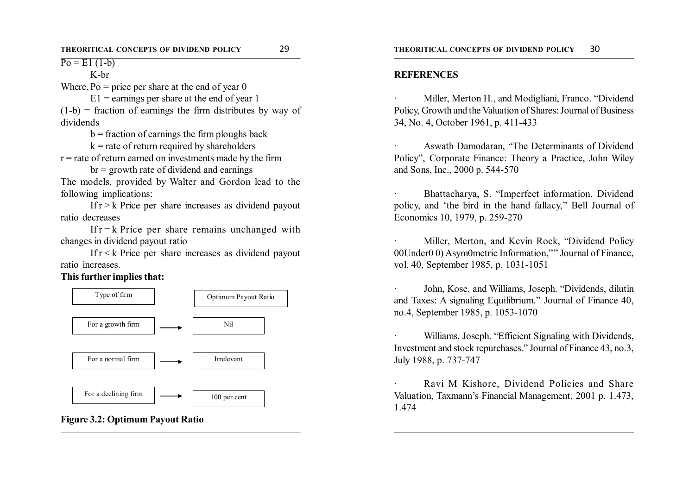$P_0 = E1(1-b)$ 

K-br

Where,  $P_0$  = price per share at the end of year 0

 $E1$  = earnings per share at the end of year 1  $(1-b)$  = fraction of earnings the firm distributes by way of dividends

 $b =$  fraction of earnings the firm ploughs back

 $k =$  rate of return required by shareholders  $r =$  rate of return earned on investments made by the firm

 $br = growth rate of dividend and earnings$ The models, provided by Walter and Gordon lead to the following implications:

If  $r > k$  Price per share increases as dividend payout ratio decreases

If  $r = k$  Price per share remains unchanged with changes in dividend payout ratio

If  $r < k$  Price per share increases as dividend payout ratio increases.

**This further implies that:**



**Figure 3.2: Optimum Payout Ratio**

#### **REFERENCES**

Miller, Merton H., and Modigliani, Franco. "Dividend Policy, Growth and the Valuation of Shares: Journal of Business 34, No. 4, October 1961, p. 411-433

Aswath Damodaran, "The Determinants of Dividend Policy", Corporate Finance: Theory a Practice, John Wiley and Sons, Inc., 2000 p. 544-570

Bhattacharya, S. "Imperfect information, Dividend policy, and 'the bird in the hand fallacy," Bell Journal of Economics 10, 1979, p. 259-270

Miller, Merton, and Kevin Rock, "Dividend Policy 00Under0 0) Asym0metric Information,"'' Journal of Finance, vol. 40, September 1985, p. 1031-1051

John, Kose, and Williams, Joseph. "Dividends, dilutin and Taxes: A signaling Equilibrium." Journal of Finance 40, no.4, September 1985, p. 1053-1070

Williams, Joseph. "Efficient Signaling with Dividends, Investment and stock repurchases." Journal of Finance 43, no.3, July 1988, p. 737-747

Ravi M Kishore, Dividend Policies and Share Valuation, Taxmann's Financial Management, 2001 p. 1.473, 1.474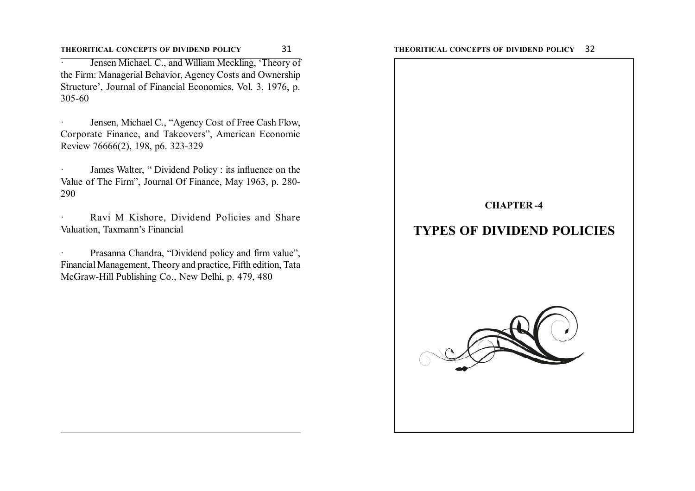**THEORITICAL CONCEPTS OF DIVIDEND POLICY** 31 **THEORITICAL CONCEPTS OF DIVIDEND POLICY** 32

Jensen Michael. C., and William Meckling, 'Theory of the Firm: Managerial Behavior, Agency Costs and Ownership Structure', Journal of Financial Economics, Vol. 3, 1976, p. 305-60

Jensen, Michael C., "Agency Cost of Free Cash Flow, Corporate Finance, and Takeovers", American Economic Review 76666(2), 198, p6. 323-329

James Walter, " Dividend Policy : its influence on the Value of The Firm", Journal Of Finance, May 1963, p. 280- 290

Ravi M Kishore, Dividend Policies and Share Valuation, Taxmann's Financial

Prasanna Chandra, "Dividend policy and firm value", Financial Management, Theory and practice, Fifth edition, Tata McGraw-Hill Publishing Co., New Delhi, p. 479, 480

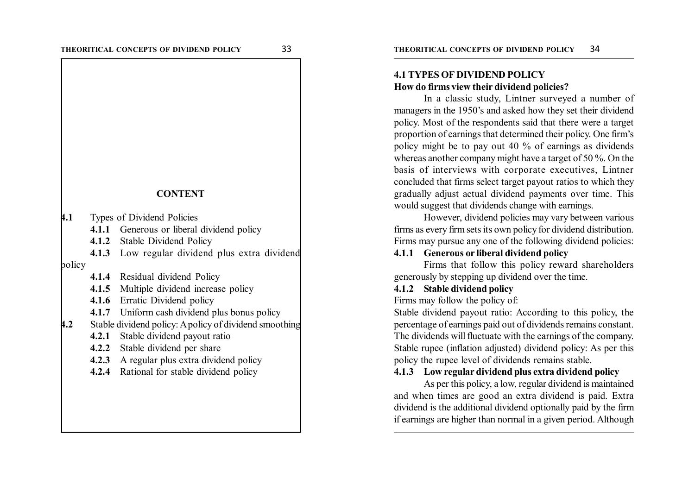#### **CONTENT**

**4.1** Types of Dividend Policies

4.1.1 Generous or liberal dividend policy

**4.1.2** Stable Dividend Policy

**4.1.3** Low regular dividend plus extra dividend policy

**4.1.4** Residual dividend Policy

**4.1.5** Multiple dividend increase policy

**4.1.6** Erratic Dividend policy

**4.1.7** Uniform cash dividend plus bonus policy

**4.2** Stable dividend policy: A policy of dividend smoothing

**4.2.1** Stable dividend payout ratio

**4.2.2** Stable dividend per share

**4.2.3** A regular plus extra dividend policy

**4.2.4** Rational for stable dividend policy

#### **4.1 TYPES OF DIVIDEND POLICY How do firms view their dividend policies?**

In a classic study, Lintner surveyed a number of managers in the 1950's and asked how they set their dividend policy. Most of the respondents said that there were a target proportion of earnings that determined their policy. One firm's policy might be to pay out 40 % of earnings as dividends whereas another company might have a target of 50 %. On the basis of interviews with corporate executives, Lintner concluded that firms select target payout ratios to which they gradually adjust actual dividend payments over time. This would suggest that dividends change with earnings.

However, dividend policies may vary between various firms as every firm sets its own policy for dividend distribution. Firms may pursue any one of the following dividend policies:

# **4.1.1 Generous or liberal dividend policy**

Firms that follow this policy reward shareholders generously by stepping up dividend over the time.

#### **4.1.2 Stable dividend policy**

Firms may follow the policy of:

Stable dividend payout ratio: According to this policy, the percentage of earnings paid out of dividends remains constant. The dividends will fluctuate with the earnings of the company. Stable rupee (inflation adjusted) dividend policy: As per this policy the rupee level of dividends remains stable.

#### **4.1.3 Low regular dividend plus extra dividend policy**

As per this policy, a low, regular dividend is maintained and when times are good an extra dividend is paid. Extra dividend is the additional dividend optionally paid by the firm if earnings are higher than normal in a given period. Although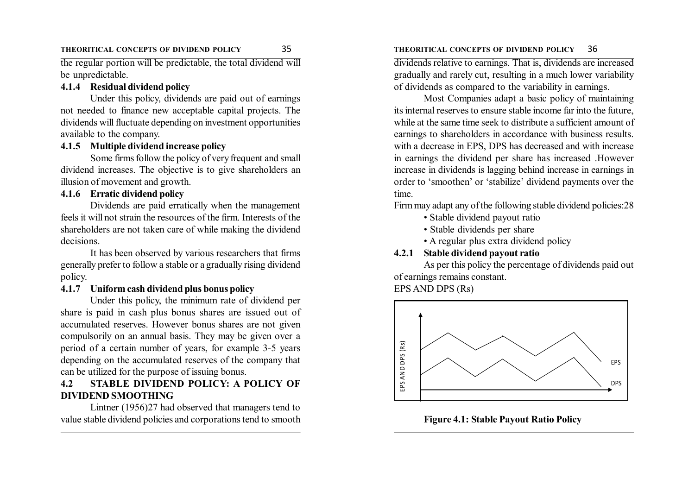#### **THEORITICAL CONCEPTS OF DIVIDEND POLICY** 35 **THEORITICAL CONCEPTS OF DIVIDEND POLICY** 36

the regular portion will be predictable, the total dividend will be unpredictable.

#### **4.1.4 Residual dividend policy**

Under this policy, dividends are paid out of earnings not needed to finance new acceptable capital projects. The dividends will fluctuate depending on investment opportunities available to the company.

# **4.1.5 Multiple dividend increase policy**

Some firms follow the policy of very frequent and small dividend increases. The objective is to give shareholders an illusion of movement and growth.

#### **4.1.6 Erratic dividend policy**

Dividends are paid erratically when the management feels it will not strain the resources of the firm. Interests of the shareholders are not taken care of while making the dividend decisions.

It has been observed by various researchers that firms generally prefer to follow a stable or a gradually rising dividend policy.

#### **4.1.7 Uniform cash dividend plus bonus policy**

Under this policy, the minimum rate of dividend per share is paid in cash plus bonus shares are issued out of accumulated reserves. However bonus shares are not given compulsorily on an annual basis. They may be given over a period of a certain number of years, for example 3-5 years depending on the accumulated reserves of the company that can be utilized for the purpose of issuing bonus.

# **4.2 STABLE DIVIDEND POLICY: A POLICY OF DIVIDEND SMOOTHING**

Lintner (1956)27 had observed that managers tend to value stable dividend policies and corporations tend to smooth

dividends relative to earnings. That is, dividends are increased gradually and rarely cut, resulting in a much lower variability of dividends as compared to the variability in earnings.

Most Companies adapt a basic policy of maintaining its internal reserves to ensure stable income far into the future, while at the same time seek to distribute a sufficient amount of earnings to shareholders in accordance with business results. with a decrease in EPS, DPS has decreased and with increase in earnings the dividend per share has increased .However increase in dividends is lagging behind increase in earnings in order to 'smoothen' or 'stabilize' dividend payments over the time.

Firm may adapt any of the following stable dividend policies:28

- Stable dividend payout ratio
- Stable dividends per share
- A regular plus extra dividend policy

#### **4.2.1 Stable dividend payout ratio**

As per this policy the percentage of dividends paid out of earnings remains constant. EPS AND DPS (Rs)



**Figure 4.1: Stable Payout Ratio Policy**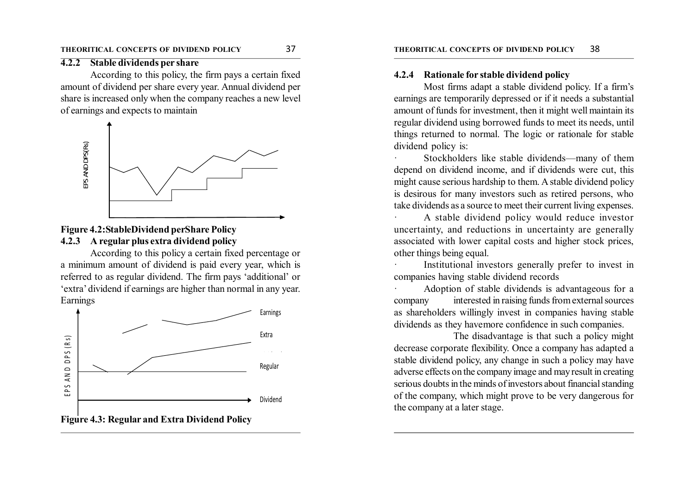#### **4.2.2 Stable dividends per share**

According to this policy, the firm pays a certain fixed amount of dividend per share every year. Annual dividend per share is increased only when the company reaches a new level of earnings and expects to maintain



#### **Figure 4.2:StableDividend perShare Policy 4.2.3 A regular plus extra dividend policy**

According to this policy a certain fixed percentage or a minimum amount of dividend is paid every year, which is referred to as regular dividend. The firm pays 'additional' or 'extra' dividend if earnings are higher than normal in any year. Earnings



#### **4.2.4 Rationale for stable dividend policy**

Most firms adapt a stable dividend policy. If a firm's earnings are temporarily depressed or if it needs a substantial amount of funds for investment, then it might well maintain its regular dividend using borrowed funds to meet its needs, until things returned to normal. The logic or rationale for stable dividend policy is:

Stockholders like stable dividends—many of them depend on dividend income, and if dividends were cut, this might cause serious hardship to them. A stable dividend policy is desirous for many investors such as retired persons, who take dividends as a source to meet their current living expenses.

A stable dividend policy would reduce investor uncertainty, and reductions in uncertainty are generally associated with lower capital costs and higher stock prices, other things being equal.

Institutional investors generally prefer to invest in companies having stable dividend records

Adoption of stable dividends is advantageous for a company interested in raising funds from external sources as shareholders willingly invest in companies having stable dividends as they havemore confidence in such companies.

The disadvantage is that such a policy might decrease corporate flexibility. Once a company has adapted a stable dividend policy, any change in such a policy may have adverse effects on the company image and may result in creating serious doubts in the minds of investors about financial standing of the company, which might prove to be very dangerous for the company at a later stage.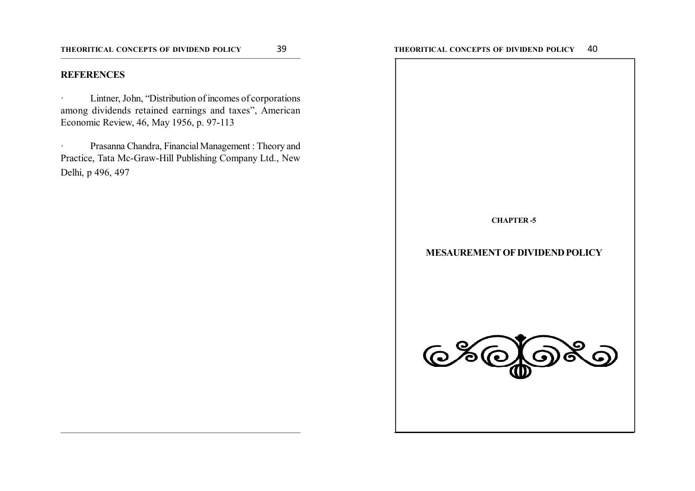#### **REFERENCES**

· Lintner, John, "Distribution of incomes of corporations among dividends retained earnings and taxes", American Economic Review, 46, May 1956, p. 97-113

· Prasanna Chandra, Financial Management : Theory and Practice, Tata Mc-Graw-Hill Publishing Company Ltd., New Delhi, p 496, 497

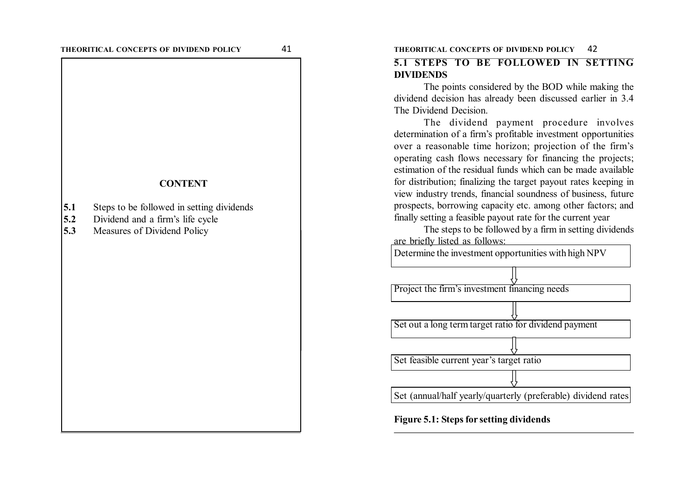#### **CONTENT**

- **5.1** Steps to be followed in setting dividends
- **5.2** Dividend and a firm's life cycle
- **5.3** Measures of Dividend Policy

#### **THEORITICAL CONCEPTS OF DIVIDEND POLICY** 41 **THEORITICAL CONCEPTS OF DIVIDEND POLICY** 42

# **5.1 STEPS TO BE FOLLOWED IN SETTING DIVIDENDS**

The points considered by the BOD while making the dividend decision has already been discussed earlier in 3.4 The Dividend Decision.

The dividend payment procedure involves determination of a firm's profitable investment opportunities over a reasonable time horizon; projection of the firm's operating cash flows necessary for financing the projects; estimation of the residual funds which can be made available for distribution; finalizing the target payout rates keeping in view industry trends, financial soundness of business, future prospects, borrowing capacity etc. among other factors; and finally setting a feasible payout rate for the current year

The steps to be followed by a firm in setting dividends are briefly listed as follows:

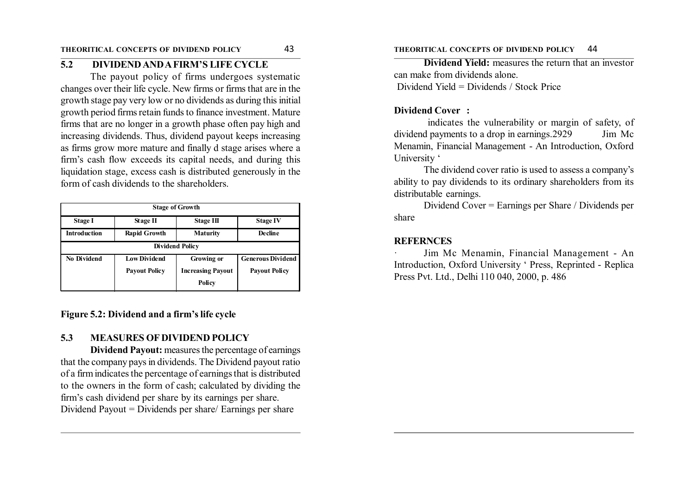# **5.2 DIVIDEND AND A FIRM'S LIFE CYCLE**

The payout policy of firms undergoes systematic changes over their life cycle. New firms or firms that are in the growth stage pay very low or no dividends as during this initial growth period firms retain funds to finance investment. Mature firms that are no longer in a growth phase often pay high and increasing dividends. Thus, dividend payout keeps increasing as firms grow more mature and finally d stage arises where a firm's cash flow exceeds its capital needs, and during this liquidation stage, excess cash is distributed generously in the form of cash dividends to the shareholders.

| <b>Stage of Growth</b> |                      |                          |                          |  |  |
|------------------------|----------------------|--------------------------|--------------------------|--|--|
| <b>Stage I</b>         | <b>Stage II</b>      | <b>Stage III</b>         | <b>Stage IV</b>          |  |  |
| <b>Introduction</b>    | <b>Rapid Growth</b>  | <b>Maturity</b>          | Decline                  |  |  |
| <b>Dividend Policy</b> |                      |                          |                          |  |  |
| No Dividend            | <b>Low Dividend</b>  | Growing or               | <b>Generous Dividend</b> |  |  |
|                        | <b>Payout Policy</b> | <b>Increasing Payout</b> | <b>Payout Policy</b>     |  |  |
|                        |                      | Policy                   |                          |  |  |

# **Figure 5.2: Dividend and a firm's life cycle**

# **5.3 MEASURES OF DIVIDEND POLICY**

**Dividend Payout:** measures the percentage of earnings that the company pays in dividends. The Dividend payout ratio of a firm indicates the percentage of earnings that is distributed to the owners in the form of cash; calculated by dividing the firm's cash dividend per share by its earnings per share. Dividend Payout = Dividends per share/ Earnings per share

**Dividend Yield:** measures the return that an investor can make from dividends alone. Dividend Yield = Dividends / Stock Price

#### **Dividend Cover :**

 indicates the vulnerability or margin of safety, of dividend payments to a drop in earnings. 2929 Jim Mc Menamin, Financial Management - An Introduction, Oxford University '

The dividend cover ratio is used to assess a company's ability to pay dividends to its ordinary shareholders from its distributable earnings.

Dividend Cover = Earnings per Share / Dividends per share

# **REFERNCES**

Jim Mc Menamin, Financial Management - An Introduction, Oxford University ' Press, Reprinted - Replica Press Pvt. Ltd., Delhi 110 040, 2000, p. 486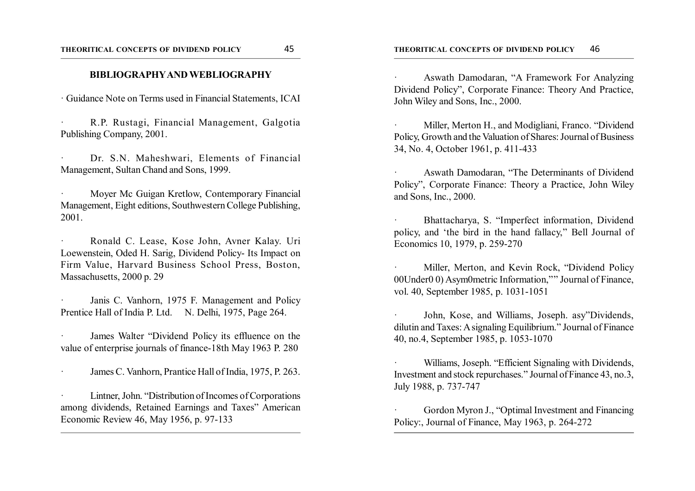#### **THEORITICAL CONCEPTS OF DIVIDEND POLICY** 45 **THEORITICAL CONCEPTS OF DIVIDEND POLICY** 46

#### **BIBLIOGRAPHY AND WEBLIOGRAPHY**

· Guidance Note on Terms used in Financial Statements, ICAI

· R.P. Rustagi, Financial Management, Galgotia Publishing Company, 2001.

Dr. S.N. Maheshwari, Elements of Financial Management, Sultan Chand and Sons, 1999.

Moyer Mc Guigan Kretlow, Contemporary Financial Management, Eight editions, Southwestern College Publishing, 2001.

· Ronald C. Lease, Kose John, Avner Kalay. Uri Loewenstein, Oded H. Sarig, Dividend Policy- Its Impact on Firm Value, Harvard Business School Press, Boston, Massachusetts, 2000 p. 29

Janis C. Vanhorn, 1975 F. Management and Policy Prentice Hall of India P. Ltd. N. Delhi, 1975, Page 264.

James Walter "Dividend Policy its effluence on the value of enterprise journals of finance-18th May 1963 P. 280

James C. Vanhorn, Prantice Hall of India, 1975, P. 263.

Lintner, John. "Distribution of Incomes of Corporations among dividends, Retained Earnings and Taxes" American Economic Review 46, May 1956, p. 97-133

· Aswath Damodaran, "A Framework For Analyzing Dividend Policy", Corporate Finance: Theory And Practice, John Wiley and Sons, Inc., 2000.

Miller, Merton H., and Modigliani, Franco. "Dividend Policy, Growth and the Valuation of Shares: Journal of Business 34, No. 4, October 1961, p. 411-433

Aswath Damodaran, "The Determinants of Dividend Policy", Corporate Finance: Theory a Practice, John Wiley and Sons, Inc., 2000.

Bhattacharya, S. "Imperfect information, Dividend policy, and 'the bird in the hand fallacy," Bell Journal of Economics 10, 1979, p. 259-270

Miller, Merton, and Kevin Rock, "Dividend Policy 00Under0 0) Asym0metric Information,"'' Journal of Finance, vol. 40, September 1985, p. 1031-1051

John, Kose, and Williams, Joseph. asy"Dividends, dilutin and Taxes: A signaling Equilibrium." Journal of Finance 40, no.4, September 1985, p. 1053-1070

Williams, Joseph. "Efficient Signaling with Dividends, Investment and stock repurchases." Journal of Finance 43, no.3, July 1988, p. 737-747

Gordon Myron J., "Optimal Investment and Financing Policy:, Journal of Finance, May 1963, p. 264-272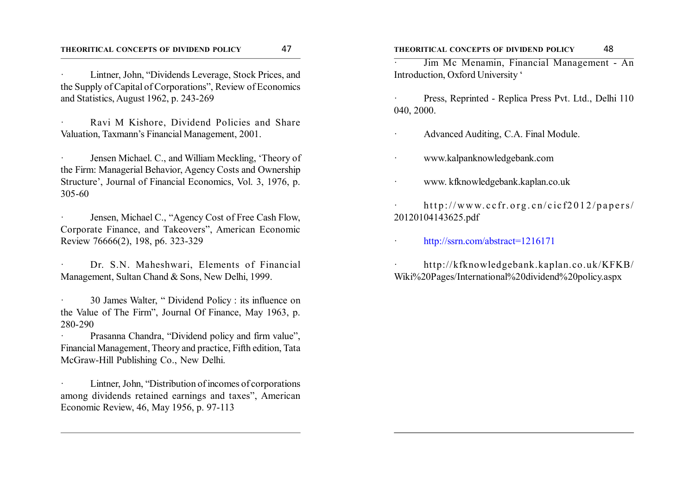Lintner, John, "Dividends Leverage, Stock Prices, and the Supply of Capital of Corporations", Review of Economics and Statistics, August 1962, p. 243-269

Ravi M Kishore, Dividend Policies and Share Valuation, Taxmann's Financial Management, 2001.

Jensen Michael. C., and William Meckling, 'Theory of the Firm: Managerial Behavior, Agency Costs and Ownership Structure', Journal of Financial Economics, Vol. 3, 1976, p. 305-60

Jensen, Michael C., "Agency Cost of Free Cash Flow, Corporate Finance, and Takeovers", American Economic Review 76666(2), 198, p6. 323-329

Dr. S.N. Maheshwari, Elements of Financial Management, Sultan Chand & Sons, New Delhi, 1999.

· 30 James Walter, " Dividend Policy : its influence on the Value of The Firm", Journal Of Finance, May 1963, p. 280-290

Prasanna Chandra, "Dividend policy and firm value", Financial Management, Theory and practice, Fifth edition, Tata McGraw-Hill Publishing Co., New Delhi.

Lintner, John, "Distribution of incomes of corporations among dividends retained earnings and taxes", American Economic Review, 46, May 1956, p. 97-113

· Jim Mc Menamin, Financial Management - An Introduction, Oxford University '

· Press, Reprinted - Replica Press Pvt. Ltd., Delhi 110 040, 2000.

· Advanced Auditing, C.A. Final Module.

· www.kalpanknowledgebank.com

· www. kfknowledgebank.kaplan.co.uk

http://www.ccfr.org.cn/cicf2012/papers/ 20120104143625.pdf

· http://ssrn.com/abstract=1216171

· http://kfknowledgebank.kaplan.co.uk/KFKB/ Wiki%20Pages/International%20dividend%20policy.aspx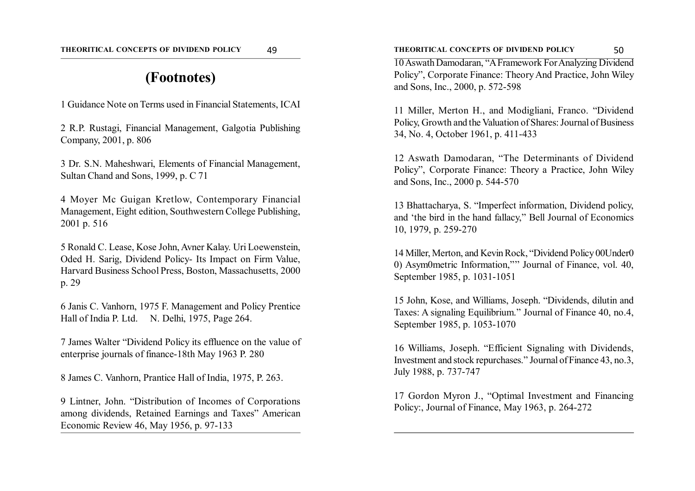# **(Footnotes)**

1 Guidance Note on Terms used in Financial Statements, ICAI

2 R.P. Rustagi, Financial Management, Galgotia Publishing Company, 2001, p. 806

3 Dr. S.N. Maheshwari, Elements of Financial Management, Sultan Chand and Sons, 1999, p. C 71

4 Moyer Mc Guigan Kretlow, Contemporary Financial Management, Eight edition, Southwestern College Publishing, 2001 p. 516

5 Ronald C. Lease, Kose John, Avner Kalay. Uri Loewenstein, Oded H. Sarig, Dividend Policy- Its Impact on Firm Value, Harvard Business School Press, Boston, Massachusetts, 2000 p. 29

6 Janis C. Vanhorn, 1975 F. Management and Policy Prentice Hall of India P. Ltd. N. Delhi, 1975, Page 264.

7 James Walter "Dividend Policy its effluence on the value of enterprise journals of finance-18th May 1963 P. 280

8 James C. Vanhorn, Prantice Hall of India, 1975, P. 263.

9 Lintner, John. "Distribution of Incomes of Corporations among dividends, Retained Earnings and Taxes" American Economic Review 46, May 1956, p. 97-133

10 Aswath Damodaran, "A Framework For Analyzing Dividend Policy", Corporate Finance: Theory And Practice, John Wiley and Sons, Inc., 2000, p. 572-598

11 Miller, Merton H., and Modigliani, Franco. "Dividend Policy, Growth and the Valuation of Shares: Journal of Business 34, No. 4, October 1961, p. 411-433

12 Aswath Damodaran, "The Determinants of Dividend Policy", Corporate Finance: Theory a Practice, John Wiley and Sons, Inc., 2000 p. 544-570

13 Bhattacharya, S. "Imperfect information, Dividend policy, and 'the bird in the hand fallacy," Bell Journal of Economics 10, 1979, p. 259-270

14 Miller, Merton, and Kevin Rock, "Dividend Policy 00Under0 0) Asym0metric Information,"'' Journal of Finance, vol. 40, September 1985, p. 1031-1051

15 John, Kose, and Williams, Joseph. "Dividends, dilutin and Taxes: A signaling Equilibrium." Journal of Finance 40, no.4, September 1985, p. 1053-1070

16 Williams, Joseph. "Efficient Signaling with Dividends, Investment and stock repurchases." Journal of Finance 43, no.3, July 1988, p. 737-747

17 Gordon Myron J., "Optimal Investment and Financing Policy:, Journal of Finance, May 1963, p. 264-272